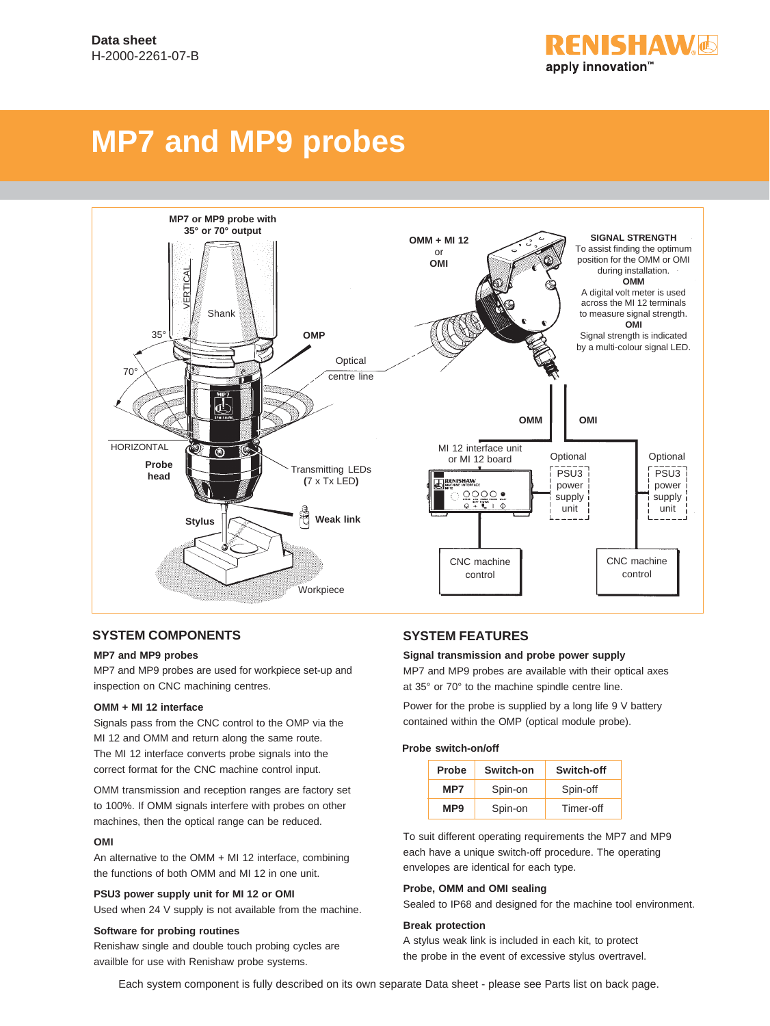FNISHAW. apply innovation™

# **MP7 and MP9 probes**



#### **SYSTEM COMPONENTS SYSTEM FEATURES**

#### **MP7 and MP9 probes**

MP7 and MP9 probes are used for workpiece set-up and inspection on CNC machining centres.

#### **OMM + MI 12 interface**

Signals pass from the CNC control to the OMP via the MI 12 and OMM and return along the same route. The MI 12 interface converts probe signals into the correct format for the CNC machine control input.

OMM transmission and reception ranges are factory set to 100%. If OMM signals interfere with probes on other machines, then the optical range can be reduced.

#### **OMI**

An alternative to the OMM + MI 12 interface, combining the functions of both OMM and MI 12 in one unit.

#### **PSU3 power supply unit for MI 12 or OMI**

Used when 24 V supply is not available from the machine.

#### **Software for probing routines**

Renishaw single and double touch probing cycles are availble for use with Renishaw probe systems.

#### **Signal transmission and probe power supply**

MP7 and MP9 probes are available with their optical axes at 35° or 70° to the machine spindle centre line.

Power for the probe is supplied by a long life 9 V battery contained within the OMP (optical module probe).

#### **Probe switch-on/off**

| Probe           | Switch-on | Switch-off |  |  |
|-----------------|-----------|------------|--|--|
| MP7             | Spin-on   | Spin-off   |  |  |
| MP <sub>9</sub> | Spin-on   | Timer-off  |  |  |

To suit different operating requirements the MP7 and MP9 each have a unique switch-off procedure. The operating envelopes are identical for each type.

#### **Probe, OMM and OMI sealing**

Sealed to IP68 and designed for the machine tool environment.

#### **Break protection**

A stylus weak link is included in each kit, to protect the probe in the event of excessive stylus overtravel.

Each system component is fully described on its own separate Data sheet - please see Parts list on back page.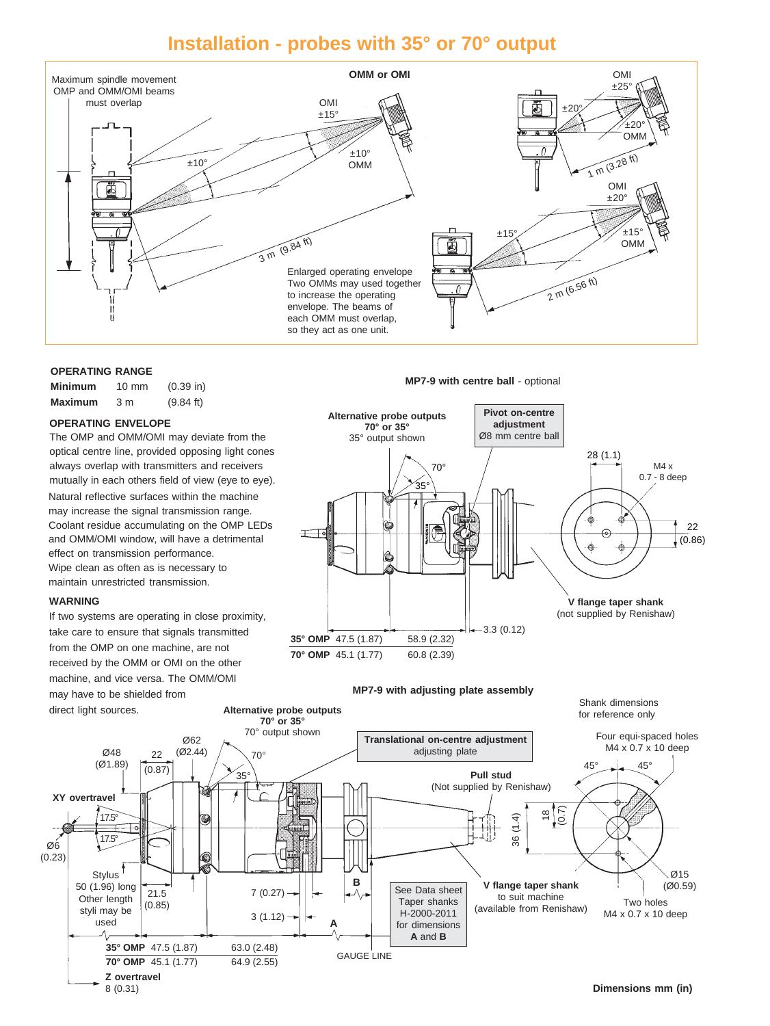### **Installation - probes with 35° or 70° output**



#### **OPERATING RANGE**

| Minimum        | $10 \text{ mm}$ | $(0.39)$ in) |
|----------------|-----------------|--------------|
| <b>Maximum</b> | 3 m             | (9.84 ft)    |

#### **OPERATING ENVELOPE**

Natural reflective surfaces within the machine may increase the signal transmission range. Coolant residue accumulating on the OMP LEDs and OMM/OMI window, will have a detrimental effect on transmission performance. Wipe clean as often as is necessary to maintain unrestricted transmission. The OMP and OMM/OMI may deviate from the optical centre line, provided opposing light cones always overlap with transmitters and receivers mutually in each others field of view (eye to eye).

#### **WARNING**

If two systems are operating in close proximity, take care to ensure that signals transmitted from the OMP on one machine, are not received by the OMM or OMI on the other machine, and vice versa. The OMM/OMI may have to be shielded from direct light sources.

#### **MP7-9 with centre ball - optional**



Shank dimensions

**MP7-9 with adjusting plate assembly**

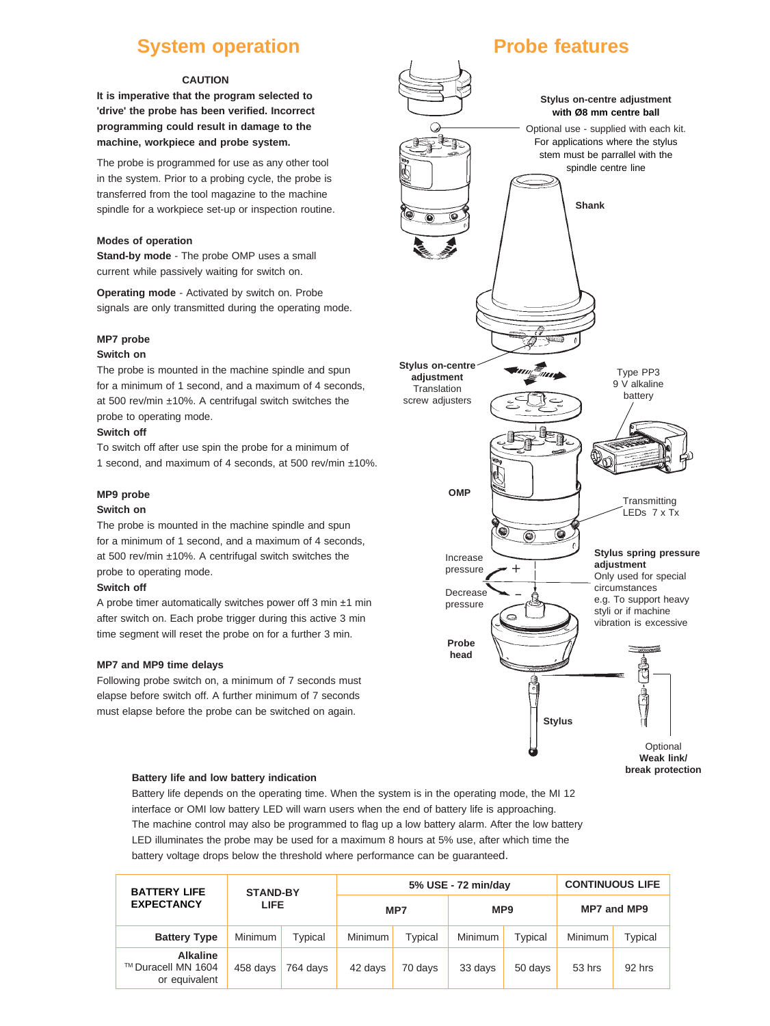### **System operation**

#### **CAUTION**

**It is imperative that the program selected to 'drive' the probe has been verified. Incorrect programming could result in damage to the machine, workpiece and probe system.**

The probe is programmed for use as any other tool in the system. Prior to a probing cycle, the probe is transferred from the tool magazine to the machine spindle for a workpiece set-up or inspection routine.

#### **Modes of operation**

**Stand-by mode** - The probe OMP uses a small current while passively waiting for switch on.

**Operating mode** - Activated by switch on. Probe signals are only transmitted during the operating mode.

#### **MP7 probe**

#### **Switch on**

The probe is mounted in the machine spindle and spun for a minimum of 1 second, and a maximum of 4 seconds, at 500 rev/min ±10%. A centrifugal switch switches the probe to operating mode.

#### **Switch off**

To switch off after use spin the probe for a minimum of 1 second, and maximum of 4 seconds, at 500 rev/min ±10%.

#### **MP9 probe**

#### **Switch on**

The probe is mounted in the machine spindle and spun for a minimum of 1 second, and a maximum of 4 seconds, at 500 rev/min ±10%. A centrifugal switch switches the probe to operating mode.

#### **Switch off**

A probe timer automatically switches power off 3 min ±1 min after switch on. Each probe trigger during this active 3 min time segment will reset the probe on for a further 3 min.

#### **MP7 and MP9 time delays**

Following probe switch on, a minimum of 7 seconds must elapse before switch off. A further minimum of 7 seconds must elapse before the probe can be switched on again.



**Transmitting** LEDs 7 x Tx

**Stylus spring pressure adjustment** Only used for special circumstances

e.g. To support heavy styli or if machine vibration is excessive



**Battery life and low battery indication**

Battery life depends on the operating time. When the system is in the operating mode, the MI 12 interface or OMI low battery LED will warn users when the end of battery life is approaching. The machine control may also be programmed to flag up a low battery alarm. After the low battery LED illuminates the probe may be used for a maximum 8 hours at 5% use, after which time the battery voltage drops below the threshold where performance can be guaranteed.

| <b>BATTERY LIFE</b>                                    | <b>STAND-BY</b><br>LIFE. |          | 5% USE - 72 min/day |         |                 | <b>CONTINUOUS LIFE</b> |                    |         |
|--------------------------------------------------------|--------------------------|----------|---------------------|---------|-----------------|------------------------|--------------------|---------|
| <b>EXPECTANCY</b>                                      |                          |          | MP7                 |         | MP <sub>9</sub> |                        | <b>MP7 and MP9</b> |         |
| <b>Battery Type</b>                                    | Minimum                  | Typical  | Minimum             | Typical | Minimum         | Typical                | <b>Minimum</b>     | Typical |
| <b>Alkaline</b><br>™ Duracell MN 1604<br>or equivalent | 458 days                 | 764 davs | 42 days             | 70 days | 33 days         | 50 days                | 53 hrs             | 92 hrs  |

Increase pressure Decrease pressure

+

 $\circledcirc$ 

Ó

-

Q

**OMP**

**Probe head**

### **Probe features**